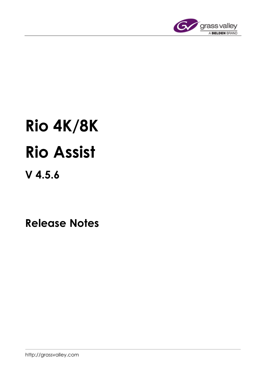

# **Rio 4K/8K Rio Assist**

# **V 4.5.6**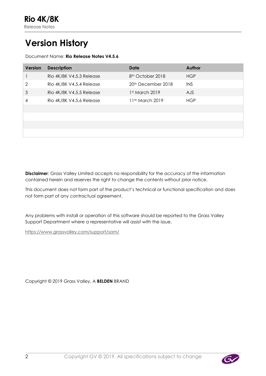# **Version History**

#### Document Name: **Rio Release Notes V4.5.6**

| <b>Version</b> | <b>Description</b>       | Date                           | Author     |
|----------------|--------------------------|--------------------------------|------------|
|                | Rio 4K/8K V4.5.3 Release | 8 <sup>th</sup> October 2018   | <b>HGP</b> |
| 2              | Rio 4K/8K V4.5.4 Release | 20 <sup>th</sup> December 2018 | <b>INS</b> |
| 3              | Rio 4K/8K V4.5.5 Release | 1st March 2019                 | <b>AJS</b> |
| 4              | Rio 4K/8K V4.5.6 Release | $11th$ March 2019              | <b>HGP</b> |
|                |                          |                                |            |
|                |                          |                                |            |
|                |                          |                                |            |
|                |                          |                                |            |

**Disclaimer:** Grass Valley Limited accepts no responsibility for the accuracy of the information contained herein and reserves the right to change the contents without prior notice.

This document does not form part of the product's technical or functional specification and does not form part of any contractual agreement.

Any problems with install or operation of this software should be reported to the Grass Valley Support Department where a representative will assist with the issue.

<https://www.grassvalley.com/support/sam/>

Copyright © 2019 Grass Valley, A **BELDEN** BRAND

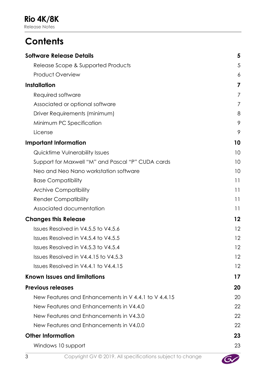# **Contents**

| <b>Software Release Details</b>                      | 5  |
|------------------------------------------------------|----|
| Release Scope & Supported Products                   | 5  |
| <b>Product Overview</b>                              | 6  |
| <b>Installation</b>                                  | 7  |
| Required software                                    | 7  |
| Associated or optional software                      | 7  |
| Driver Requirements (minimum)                        | 8  |
| Minimum PC Specification                             | 9  |
| License                                              | 9  |
| <b>Important Information</b>                         | 10 |
| Quicktime Vulnerability Issues                       | 10 |
| Support for Maxwell "M" and Pascal "P" CUDA cards    | 10 |
| Neo and Neo Nano workstation software                | 10 |
| <b>Base Compatibility</b>                            | 11 |
| <b>Archive Compatibility</b>                         | 11 |
| <b>Render Compatibility</b>                          | 11 |
| Associated documentation                             | 11 |
| <b>Changes this Release</b>                          | 12 |
| Issues Resolved in V4.5.5 to V4.5.6                  | 12 |
| Issues Resolved in V4.5.4 to V4.5.5                  | 12 |
| Issues Resolved in V4.5.3 to V4.5.4                  | 12 |
| Issues Resolved in V4.4.15 to V4.5.3                 | 12 |
| Issues Resolved in V4.4.1 to V4.4.15                 | 12 |
| <b>Known Issues and limitations</b>                  | 17 |
| <b>Previous releases</b>                             | 20 |
| New Features and Enhancements in V 4.4.1 to V 4.4.15 | 20 |
| New Features and Enhancements in V4.4.0              | 22 |
| New Features and Enhancements in V4.3.0              | 22 |
| New Features and Enhancements in V4.0.0              | 22 |
| <b>Other Information</b>                             | 23 |
| Windows 10 support                                   | 23 |

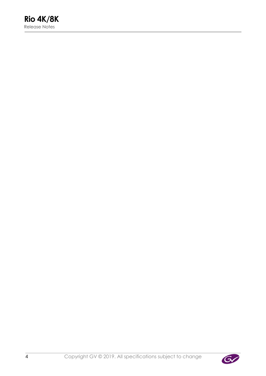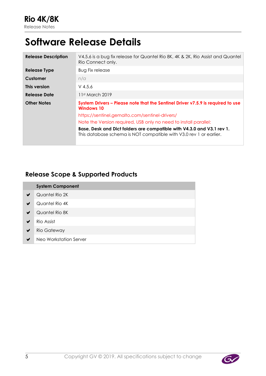# <span id="page-4-0"></span>**Software Release Details**

| <b>Release Description</b> | V4.5.6 is a bug fix release for Quantel Rio 8K, 4K & 2K, Rio Assist and Quantel<br>Rio Connect only.                                         |
|----------------------------|----------------------------------------------------------------------------------------------------------------------------------------------|
| <b>Release Type</b>        | Bug Fix release                                                                                                                              |
| Customer                   | n/a                                                                                                                                          |
| This version               | $V$ 4.5.6                                                                                                                                    |
| <b>Release Date</b>        | $11st$ March 2019                                                                                                                            |
| <b>Other Notes</b>         | System Drivers – Please note that the Sentinel Driver v7.5.9 is required to use<br><b>Windows 10</b>                                         |
|                            | https://sentinel.gemalto.com/sentinel-drivers/                                                                                               |
|                            | Note the Version required, USB only no need to install parallel:                                                                             |
|                            | Base, Desk and Dict folders are compatible with V4.3.0 and V3.1 rev 1.<br>This database schema is NOT compatible with V3.0 rev 1 or earlier. |

### <span id="page-4-1"></span>**Release Scope & Supported Products**

|   | <b>System Component</b> |
|---|-------------------------|
| ✔ | Quantel Rio 2K          |
| ✔ | Quantel Rio 4K          |
| ✔ | Quantel Rio 8K          |
| ✔ | Rio Assist              |
| ✔ | Rio Gateway             |
| ✔ | Neo Workstation Server  |
|   |                         |

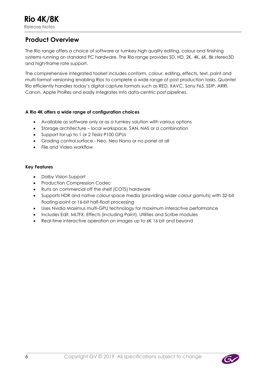#### <span id="page-5-0"></span>**Product Overview**

The Rio range offers a choice of software or turnkey high quality editing, colour and finishing systems running on standard PC hardware. The Rio range provides SD, HD, 2K, 4K, 6K, 8k stereo3D and high-frame rate support.

The comprehensive integrated toolset includes conform, colour, editing, effects, text, paint and multi-format versioning enabling Rios to complete a wide range of post production tasks. Quantel Rio efficiently handles today's digital capture formats such as RED, XAVC, Sony F65, SStP, ARRI, Canon, Apple ProRes and easily integrates Into data-centric post pipelines.

#### **A Rio 4K offers a wide range of configuration choices**

- Available as software only or as a turnkey solution with various options
- Storage architecture local workspace, SAN, NAS or a combination
- Support for up to 1 or 2 Tesla P100 GPUs
- Grading control surface Neo, Neo Nano or no panel at all
- File and Video workflow

#### **Key Features**

- Dolby Vision Support
- Production Compression Codec
- Runs on commercial off the shelf (COTS) hardware
- Supports HDR and native colour space media (providing wider colour gamuts) with 32-bit floating-point or 16-bit half-float processing
- Uses Nvidia Maximus multi-GPU technology for maximum interactive performance
- Includes Edit, MLTFX, Effects (including Paint), Utilities and Scribe modules
- Real-time interactive operation on images up to 6K 16 bit and beyond

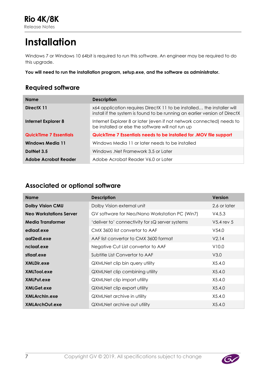# <span id="page-6-0"></span>**Installation**

Windows 7 or Windows 10 64bit is required to run this software. An engineer may be required to do this upgrade.

**You will need to run the installation program, setup.exe, and the software as administrator.** 

### <span id="page-6-1"></span>**Required software**

| <b>Name</b>                   | <b>Description</b>                                                                                                                                   |
|-------------------------------|------------------------------------------------------------------------------------------------------------------------------------------------------|
| DirectX 11                    | x64 application requires DirectX 11 to be installed the installer will<br>install if the system is found to be running an earlier version of DirectX |
| <b>Internet Explorer 8</b>    | Internet Explorer 8 or later (even if not network connected) needs to<br>be installed or else the software will not run up                           |
| <b>QuickTime 7 Essentials</b> | QuickTime 7 Essentials needs to be installed for .MOV file support                                                                                   |
| <b>Windows Media 11</b>       | Windows Media 11 or later needs to be installed                                                                                                      |
| DotNet 3.5                    | Windows .Net Framework 3.5 or Later                                                                                                                  |
| Adobe Acrobat Reader          | Adobe Acrobat Reader V6.0 or Later                                                                                                                   |

### <span id="page-6-2"></span>**Associated or optional software**

| <b>Name</b>              | <b>Description</b>                              | <b>Version</b> |
|--------------------------|-------------------------------------------------|----------------|
| <b>Dolby Vision CMU</b>  | Dolby Vision external unit                      | 2.6 or later   |
| Neo Workstations Server  | GV software for Neo/Nano Workstation PC (Win7)  | V4.5.3         |
| <b>Media Transformer</b> | 'deliver to' connectivity for sQ server systems | $V5.4$ rev 5   |
| edlaaf.exe               | CMX 3600 list convertor to AAF                  | V54.0          |
| agf2edl.exe              | AAF list convertor to CMX 3600 format           | V2.14          |
| nclaaf.exe               | Negative Cut List convertor to AAF              | V10.0          |
| stlaaf.exe               | Subtitle List Convertor to AAF                  | V3.0           |
| XMLDir.exe               | QXMLNet clip bin query utility                  | X5.4.0         |
| XMLTool.exe              | QXMLNet clip combining utility                  | X5.4.0         |
| XMLPut.exe               | <b>QXMLNet clip import utility</b>              | X5.4.0         |
| XMLGet.exe               | QXMLNet clip export utility                     | X5.4.0         |
| <b>XMLArchin.exe</b>     | <b>QXMLNet archive in utility</b>               | X5.4.0         |
| <b>XMLArchOut.exe</b>    | <b>QXMLNet archive out utility</b>              | X5.4.0         |

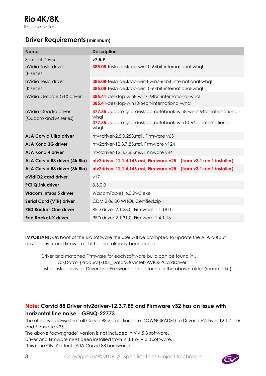#### <span id="page-7-0"></span>**Driver Requirements (minimum)**

| <b>Name</b>                                                  | <b>Description</b>                                                                                                                                   |                             |  |  |  |
|--------------------------------------------------------------|------------------------------------------------------------------------------------------------------------------------------------------------------|-----------------------------|--|--|--|
| <b>Sentinel Driver</b><br>n Vidia Tesla driver<br>(P series) | V7.5.9<br>385.08-tesla-desktop-win10-64bit-international-whal                                                                                        |                             |  |  |  |
| nVidia Tesla driver<br>(K series)                            | 385.08-tesla-desktop-win8-win7-64bit-international-whal<br>385.08-tesla-desktop-win10-64bit-international-whal                                       |                             |  |  |  |
| nVidia Geforce GTX driver                                    | 385.41-desktop-win8-win7-64bit-international-whal<br><b>385.41</b> -desktop-win10-64bit-international-whal                                           |                             |  |  |  |
| nVidia Quadro driver<br>(Quadro and M series)                | 377.55-quadro-grid-desktop-notebook-win8-win7-64bit-international-<br>whal<br>377.55-quadro-grid-desktop-notebook-win10-64bit-international-<br>whal |                             |  |  |  |
| <b>AJA Corvid Ultra driver</b>                               | ntv4driver-2.5.0.253.msi, Firmware v65                                                                                                               |                             |  |  |  |
| AJA Kong 3G driver                                           | ntv2driver-12.3.7.85.msi, Firmware v124                                                                                                              |                             |  |  |  |
| AJA Kong 4 driver                                            | ntv2driver-12.3.7.85.msi, Firmware v44                                                                                                               |                             |  |  |  |
| AJA Corvid 88 driver (4k Rio)                                | ntv2driver-12.1.4.146.msi, Firmware v25                                                                                                              | (from v3.1 rev 1 installer) |  |  |  |
| AJA Corvid 88 driver (8k Rio)                                | ntv2driver-12.1.4.146.msi, Firmware v25                                                                                                              | (from v3.1 rev 1 installer) |  |  |  |
| eVidIO2 card driver                                          | v17                                                                                                                                                  |                             |  |  |  |
| <b>PCi QLink driver</b>                                      | 3.3.0.0                                                                                                                                              |                             |  |  |  |
| <b>Wacom Intuos 5 driver</b>                                 | WacomTablet 6.3.9w3.exe                                                                                                                              |                             |  |  |  |
| <b>Serial Card (VTR) driver</b>                              | CDM 2.06.00 WHQL Certified.zip                                                                                                                       |                             |  |  |  |
| <b>RED Rocket-One driver</b>                                 | RED driver 2.1.23.0, Firmware 1.1.18.0                                                                                                               |                             |  |  |  |
| <b>Red Rocket-X driver</b>                                   | RED driver 2.1.31.0, Firmware 1.4.1.16                                                                                                               |                             |  |  |  |

**IMPORTANT:** On boot of the Rio software the user will be prompted to update the AJA output device driver and firmware (if it has not already been done).

Driver and matched Firmware for each software build can be found in… C:\Data\ {Product}\DLL\_Data\Quantel\AVIO3PCardDriver Install instructions for Driver and Firmware can be found in the above folder (readme.txt)…

#### **Note: Corvid 88 Driver ntv2driver-12.3.7.85 and Firmware v32 has an issue with horizontal line noise - GENQ-22773**

Therefore we advise that all Corvid 88 installations are DOWNGRADED to Driver ntv2driver-12.1.4.146 and Firmware v25.

The above 'downgrade' version is not included in V 4.5.3 software.

Driver and firmware must been installed from V 3.1 or V 3.0 software.

(this issue ONLY affects AJA Corvid 88 hardware)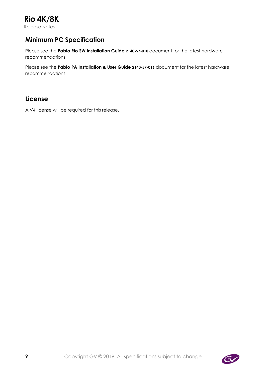### <span id="page-8-0"></span>**Minimum PC Specification**

Please see the **Pablo Rio SW Installation Guide 2140-57-010** document for the latest hardware recommendations.

Please see the **Pablo PA Installation & User Guide 2140-57-016** document for the latest hardware recommendations.

#### <span id="page-8-1"></span>**License**

A V4 license will be required for this release.

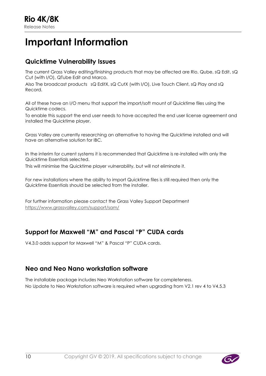# <span id="page-9-0"></span>**Important Information**

#### <span id="page-9-1"></span>**Quicktime Vulnerability Issues**

The current Grass Valley editing/finishing products that may be affected are Rio, Qube, sQ Edit, sQ Cut (with I/O), QTube Edit and Marco.

Also The broadcast products sQ EditX, sQ CutX (with I/O), Live Touch Client, sQ Play and sQ Record.

All of these have an I/O menu that support the import/soft mount of Quicktime files using the Quicktime codecs.

To enable this support the end user needs to have accepted the end user license agreement and installed the Quicktime player.

Grass Valley are currently researching an alternative to having the Quicktime installed and will have an alternative solution for IBC.

In the interim for current systems it is recommended that Quicktime is re-installed with only the Quicktime Essentials selected.

This will minimise the Quicktime player vulnerability, but will not eliminate it.

For new installations where the ability to import Quicktime files is still required then only the Quicktime Essentials should be selected from the installer.

For further information please contact the Grass Valley Support Department <https://www.grassvalley.com/support/sam/>

### <span id="page-9-2"></span>**Support for Maxwell "M" and Pascal "P" CUDA cards**

V4.3.0 adds support for Maxwell "M" & Pascal "P" CUDA cards.

#### <span id="page-9-3"></span>**Neo and Neo Nano workstation software**

The installable package includes Neo Workstation software for completeness. No Update to Neo Workstation software is required when upgrading from V2.1 rev 4 to V4.5.3

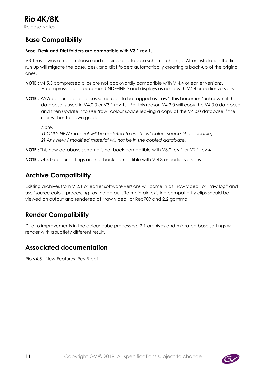### <span id="page-10-0"></span>**Base Compatibility**

#### **Base, Desk and Dict folders are compatible with V3.1 rev 1.**

V3.1 rev 1 was a major release and requires a database schema change. After installation the first run up will migrate the base, desk and dict folders automatically creating a back-up of the original ones.

- **NOTE :** v4.5.3 compressed clips are not backwardly compatible with V 4.4 or earlier versions. A compressed clip becomes UNDEFINED and displays as noise with V4.4 or earlier versions.
- **NOTE :** RAW colour space causes some clips to be tagged as 'raw', this becomes 'unknown' if the database is used in V4.0.0 or V3.1 rev 1. For this reason V4.3.0 will copy the V4.0.0 database and then update it to use 'raw' colour space leaving a copy of the V4.0.0 database if the user wishes to down grade.

*Note.*

*1) ONLY NEW material will be updated to use 'raw' colour space (if applicable) 2) Any new / modified material will not be in the copied database.*

**NOTE :** This new database schema is not back compatible with V3.0 rev 1 or V2.1 rev 4

**NOTE :** v4.4.0 colour settings are not back compatible with V 4.3 or earlier versions

#### <span id="page-10-1"></span>**Archive Compatibility**

Existing archives from V 2.1 or earlier software versions will come in as "raw video" or "raw log" and use 'source colour processing' as the default. To maintain existing compatibility clips should be viewed on output and rendered at "raw video" or Rec709 and 2.2 gamma.

#### <span id="page-10-2"></span>**Render Compatibility**

Due to improvements in the colour cube processing, 2.1 archives and migrated base settings will render with a subtlety different result.

#### <span id="page-10-3"></span>**Associated documentation**

Rio v4.5 - New Features\_Rev B.pdf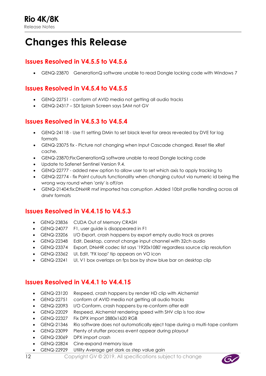# <span id="page-11-0"></span>**Changes this Release**

### <span id="page-11-1"></span>**Issues Resolved in V4.5.5 to V4.5.6**

GENQ-23870 GenerationQ software unable to read Dongle locking code with Windows 7

#### <span id="page-11-2"></span>**Issues Resolved in V4.5.4 to V4.5.5**

- GENQ-22751 conform of AVID media not getting all audio tracks
- GENQ-24317 SDI Splash Screen says SAM not GV

#### <span id="page-11-3"></span>**Issues Resolved in V4.5.3 to V4.5.4**

- GENQ-24118 Use f1 setting DMin to set black level for areas revealed by DVE for log formats
- GENQ-23075 fix Picture not changing when Input Cascade changed. Reset tile xRef cache.
- GENQ-23870:Fix:GenerationQ software unable to read Dongle locking code
- Update to Safenet Sentinel Version 9.4.
- GENQ-22777 added new option to allow user to set which axis to apply tracking to
- GENQ-22774 fix Paint cutouts functionality when changing cutout via numeric id being the wrong way round when 'only' is off/on
- GENQ-21404:fix:DNxHR mxf imported has corruption .Added 10bit profile handling across all dnxhr formats

#### <span id="page-11-4"></span>**Issues Resolved in V4.4.15 to V4.5.3**

- GENQ-23836 CUDA Out of Memory CRASH
- GENQ-24077 F1, user guide is disappeared in F1
- GENQ-23206 I/O Export, crash happens by export empty audio track as prores
- GENQ-22348 Edit, Desktop, cannot change input channel with 32ch audio
- GENQ-23374 Export, DNxHR codec list says '1920x1080' regardless source clip resolution
- GENQ-23362 UI, Edit, "FX loop" tip appears on VO icon
- GENQ-23241 UI, V1 box overlaps on fps box by show blue bar on desktop clip

#### <span id="page-11-5"></span>**Issues Resolved in V4.4.1 to V4.4.15**

- GENQ-23120 Respeed, crash happens by render HD clip with Alchemist
- GENQ-22751 conform of AVID media not getting all audio tracks
- GENQ-22093 I/O Conform, crash happens by re-conform after edit
- GENQ-22029 Respeed, Alchemist rendering speed with SHV clip is too slow
- GENQ-22327 Fix DPX import 2880x1620 RGB
- GENQ-21346 Rio software does not automatically eject tape during a multi-tape conform
- GENQ-23099 Plenty of stuffer process event appear during playout
- GENQ-23069 DPX import crash
- GENQ-22824 Cine-expand memory issue
- GENQ-22929 Utility Average get dark as step value gain

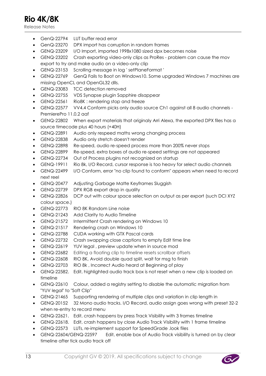**Rio 4K/8K**

- GenQ-22794 LUT buffer read error
- GenQ-23270 DPX import has corruption in random frames
- GENQ-23209 I/O Import, imported 1998x1080 sized dpx becomes noise
- GENQ-23202 Crash exporting video-only clips as ProRes problem can cause the mov export to try and make audio on a video-only clip
- GENQ-23153 Scrolling message in log ' setPlaneFormat '
- GENQ-22769 GenQ Fails to Boot on Windows10. Some upgraded Windows 7 machines are missing OpenCL and OpenGL32 dlls.
- GENQ-23083 TCC detection removed
- GENQ-22755 VDS Synapse plugin Sapphire disappear
- GENQ-22561 Rio8K : rendering stop and freeze
- GENQ-22577 VV4.4 Conform picks only audio source Ch1 against all 8 audio channels PremierePro 11.0.2 aaf
- GENQ-22802 When export materials that originaly Arri Alexa, the exported DPX files has a source timecode plus 40 hours (+40H)
- GENQ-22891 Audio only respeed maths wrong changing process
- GENQ-22838 Audio only stretch doesn't render
- GENQ-22898 Re-speed, audio re-speed process more than 200% never stops
- GENQ-22899 Re-speed, extra boxes of audio re-speed settings are not appeared
- GENQ-22734 Out of Process plugins not recognized on startup
- GENQ-19911 Rio 8k, I/O Record, cursor response is too heavy for select audio channels
- GENQ-22499 I/O Conform, error "no clip found to conform" appears when need to record next reel
- GENQ-20477 Adjusting Garbage Matte Keyframes Sluggish
- GENQ-22739 DPX RGB export drop in quality
- GENQ-22826 DCP out with colour space selection on output as per export (such DCI XYZ colour space.)
- GENQ-22773 RIO 8K Random Line noise
- GENQ-21243 Add Clarity to Audio Timeline
- GENQ-21572 Intermittent Crash rendering on Windows 10
- GENQ-21517 Rendering crash on Windows 10
- GENQ-22788 CUDA working with GTX Pascal cards
- GENQ-22732 Crash swapping close captions to empty Edit time line
- GENQ-22619 YUV legal , preview update when in source mod
- GENQ-22682 Editing a floating clip to timeline resets scrollbar offsets
- GENQ-22608 RIO 8K, Avoid double quad split, wait for msg to finish
- GENQ-22703 RIO 8k , Incorrect Audio heard at Beginning of play
- [GENQ-22582.](http://tracker.s-a-m.com/browse/GENQ-22582) Edit, highlighted audio track box is not reset when a new clip is loaded on timeline
- [GENQ-22610](http://tracker.s-a-m.com/browse/GENQ-22610) Colour, added a registry setting to disable the automatic migration from "YUV legal" to "Soft Clip"
- [GENQ-21465](http://tracker.s-a-m.com/browse/GENQ-21465) Supporting rendering of multiple clips and variation in clip length in
- [GENQ-20152](http://tracker.s-a-m.com/browse/GENQ-20152) 32 Mono audio tracks. I/O Record, audio assign goes wrong with preset 32-2 when re-entry to record menu
- [GENQ-22621.](http://tracker.s-a-m.com/browse/GENQ-22621) Edit, crash happens by press Track Visibility with 3 frames timeline
- [GENQ-22618.](http://tracker.s-a-m.com/browse/GENQ-22618) Edit, crash happens by close Audio Track Visibility with 1 frame timeline
- [GENQ-22573](http://tracker.s-a-m.com/browse/GENQ-22573) LUTs, re-implement support for SpeedGrade .look files
- [GENQ-22604/](http://tracker.s-a-m.com/browse/GENQ-22604)[GENQ-22597](http://tracker.s-a-m.com/browse/GENQ-22597) Edit, enable box of Audio Track visibility is turned on by clear timeline after tick audio track off

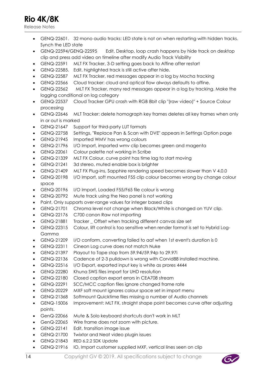**Rio 4K/8K** Release Notes

- [GENQ-22601.](http://tracker.s-a-m.com/browse/GENQ-22601) 32 mono audio tracks: LED state is not on when restarting with hidden tracks. Synch the LED state
- [GENQ-22594/](http://tracker.s-a-m.com/browse/GENQ-22594)[GENQ-22595](http://tracker.s-a-m.com/browse/GENQ-22595) Edit, Desktop, loop crash happens by hide track on desktop clip and press add video on timeline after modify Audio Track Visibility
- [GENQ-22591](http://tracker.s-a-m.com/browse/GENQ-22591) MLT FX Tracker, 3-D setting goes back to Affine after restart
- [GENQ-22585.](http://tracker.s-a-m.com/browse/GENQ-22585) Edit, highlighted track is still active after hide.
- [GENQ-22587](http://tracker.s-a-m.com/browse/GENQ-22587) MLT FX Tracker, red messages appear in a log by Mocha tracking
- [GENQ-22566](http://tracker.s-a-m.com/browse/GENQ-22566) Cloud tracker: cloud and optical flow always defaults to affine.
- [GENQ-22562](http://tracker.s-a-m.com/browse/GENQ-22562) MLT FX Tracker, many red messages appear in a log by tracking. Make the logging conditional on log category
- GENQ-22537 Cloud Tracker GPU crash with RGB 8bit clip "(raw video)" + Source Colour processing
- [GENQ-22646](http://tracker.s-a-m.com/browse/GENQ-22646) MLT Tracker: delete homograph key frames deletes all key frames when only in or out is marked
- [GENQ-21647](http://tracker.s-a-m.com/browse/GENQ-21647) Support for third-party LUT formats
- GENQ-22758 Settings, "Replace Pan & Scan with DVE" appears in Settings Option page
- GENQ-21945 Imported WMV has wrong colours
- GENQ-21796 I/O Import, imported wmv clip becomes green and magenta
- GENQ-22061 Colour palette not working in Scribe
- GENQ-21339 MLT FX Colour, curve point has time lag to start moving
- GENQ-21241 3d stereo, muted enable box is brighter
- GENQ-21409 MLT FX Plug-ins, Sapphire rendering speed becomes slower than V 4.0.0
- GENQ-20198 I/O Import, soft mounted F55 clip colour becomes wrong by change colour space
- GENQ-20196 I/O Import, Loaded F55/F65 file colour is wrong
- GENQ-20792 Mute track using the Neo panel is not working
- Paint, Only supports over-range values for integer based clips
- GENQ-21701 Chroma level not change when Black/White is changed on YUV clip.
- GENQ-22176 C700 canon Raw not importing
- GENQ-21881 Tracker \_ Offset when tracking different canvas size set
- GENQ-22315 Colour, lift control is too sensitive when render format is set to Hybrid Log-Gamma
- GENQ-21209 I/O conform, converting failed to aaf when 1st event's duration is 0
- GENQ-22311 Cineon Log curve does not match Nuke
- GENQ-21397 Playout to Tape stop from 59.94i/59.94p to 29.97i
- GENQ-22136 Cadence of 2-3 pulldown is wrong with Corvid88 installed machine.
- GENQ-22516 I/O Export, exported input key is white as prores 4444
- GENQ-22280 Khuna SWS files import for UHD resolution
- GENQ-22180 Closed caption export errors in CEA708 stream
- GENQ-22291 SCC/MCC caption files ignore changed frame rate
- GENQ-20229 MXF soft mount ignores colour space set in import menu
- GENQ-21368 Softmount Quicktime files missing a number of Audio channels
- GENQ-15006 Improvement: MLT FX, straight shape point becomes curve after adjusting points.
- GenQ-22066 Mute & Solo keyboard shortcuts don't work in MLT
- GenQ-22065 Wire frame does not zoom with picture.
- GENQ-22141 Edit, transition image issue
- GENQ-21700 Twixtor and Neat video plugin issues
- GENQ-21843 RED 6.2.2 SDK Update
- GENQ-21916 IO, Import customer supplied MXF, vertical lines seen on clip

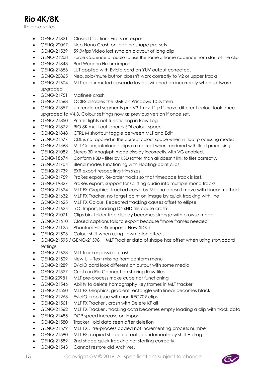### **Rio 4K/8K**

- GENQ-21821 Closed Captions Errors on export
- GENQ-22067 Neo Nano Crash on loading shape pre-sets
- GENQ-21539 59.94fps Video lost sync on playout of long clip
- GENQ-21208 Force Cadence of audio to use the same 5 frame cadence from start of the clip
- GENQ-21843 Red Weapon Helium import
- GENQ-21853 LUT applied with Evidio card on YUV output corrected.
- GENQ-20865 Neo, solo/mute button doesn't work correctly to V2 or upper tracks
- GENQ-21604 MLT colour muted cascade layers switched on incorrectly when software upgraded
- GENQ-21751 Matinee crash
- GENQ-21568 QCIFS disables the SMB on Windows 10 system
- GENQ-21857 Un-rendered segments pre V3.1 rev 11 p11 have different colour look once upgraded to V4.3. Colour settings now as previous version if once set.
- GENQ-21850 Printer lights not functioning in Raw Log
- GENQ-21872 RIO 8K mulit out ignores SDI colour space
- GENQ-21848 CTRL M shortcut toggle between MLT and Edit
- GENQ-21577 CDL is not applied in the correct colour space when in float processing modes
- GENQ-21463 MLT Colour, interlaced clips are corrupt when rendered with float processing
- GENQ-21082 Stereo 3D Anaglyph mode display incorrectly with VG enabled.
- GENQ-18674 Conform R3D filter by R3D rather than all doesn't link to files correctly.
- GENQ-21704 Blend modes functioning with Floating-point clips
- GENQ-21739 EXR export respecting trim sizes.
- GENQ-21759 ProRes export. Re-order tracks so that timecode track is last.
- GENQ-19827 ProRes export, support for splitting audio into multiple mono tracks
- GENQ-21624 MLT FX Graphics, tracked curve by Mocha doesn't move with Linear method
- GENQ-21632 MLT FX Tracker, no target point on image by quick tracking with line
- GENQ-21625 MLT FX Colour, Repeated tracking causes offset to ellipse
- GENQ-21624 I/O, Import, loading DNxHD file cause crash
- GENQ-21071 Clips bin, folder tree display becomes strange with browse mode
- GENQ-21610 Closed captions fails to export because "more frames needed"
- GENQ-21125 Phantom Flex 4k import ( New SDK )
- GENQ-21503 Colour shift when using flowmotion effects
- GENQ-21595 / GENQ-21598 MLT Tracker data of shape has offset when using storyboard settings
- GENQ-21623 MLT tracker possible crash
- GENQ-21529 New UI Text missing from conform menu
- GENQ-21289 EvidIO card look different on output with some media.
- GENQ-21527 Crash on Rio Connect on sharing Raw files
- GENQ 20981 MLT pre-process make cube not functioning
- GENQ-21546 Ability to delete homography key frames in MLT tracker
- GENQ-21550 MLT FX Graphics, gradient rectangle with linear becomes black
- GENQ-21263 EvidIO crop issue with non REC709 clips
- GENQ-21561 MLT FX Tracker , crash with Delete KF all
- GENQ-21562 MLT FX Tracker, tracking data becomes empty loading a clip with track data
- GENQ-21485 DCP speed increase on import
- GENQ-21580 Tracker , old data seen after deletion
- GENQ-21579 MLT FX , Pre-process added not incrementing process number
- GENQ-21590 MLT FX, copied shape is created underneath by shift + drag
- GENQ-21589 2nd shape quick tracking not starting correctly.
- [GENQ-21543](http://tracker.s-a-m.com/browse/GENQ-21543) Cannot restore old Archives.

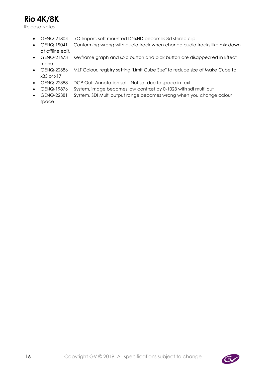## **Rio 4K/8K**

- [GENQ-21804](http://tracker.s-a-m.com/browse/GENQ-21804) I/O Import, soft mounted DNxHD becomes 3d stereo clip.
- [GENQ-19041](http://tracker.s-a-m.com/browse/GENQ-19041) Conforming wrong with audio track when change audio tracks like mix down at offline edit.
- [GENQ-21673](http://tracker.s-a-m.com/browse/GENQ-21673) Keyframe graph and solo button and pick button are disappeared in Effect menu.
- [GENQ-22386](http://tracker.s-a-m.com/browse/GENQ-22386) MLT Colour, registry setting "Limit Cube Size" to reduce size of Make Cube to x33 or x17
- [GENQ-22388](http://tracker.s-a-m.com/browse/GENQ-22388) DCP Out, Annotation set Not set due to space in text
- GENQ-19876 System, image becomes low contrast by 0-1023 with sdi multi out
- GENQ-22381 System, SDI Multi output range becomes wrong when you change colour space

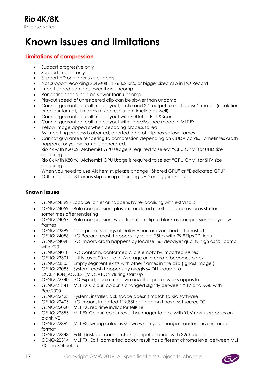# <span id="page-16-0"></span>**Known Issues and limitations**

#### **Limitations of compression**

- Support progressive only
- Support Integer only
- Support HD or bigger size clip only
- Not support recording SDI Multi In 7680x4320 or bigger sized clip in I/O Record
- Import speed can be slower than uncomp
- Rendering speed can be slower than uncomp
- Playout speed of unrendered clip can be slower than uncomp
- Cannot guarantee realtime playout, if clip and SDI output format doesn't match (resolution or colour format, it means mixed resolution timeline as well)
- Cannot guarantee realtime playout with SDI lut or Pan&Scan
- Cannot guarantee realtime playout with Loop/Bounce mode in MLT FX
- Yellow image appears when decoding process failed By importing process is aborted, aborted area of clip has yellow frames
- Cannot guarantee rendering to compression depending on CUDA cards. Sometimes crash happens, or yellow frame is generated. Rio 4k with K20 x2, Alchemist GPU Usage is required to select "CPU Only" for UHD size rendering.

Rio 8k with K80 x6, Alchemist GPU Usage is required to select "CPU Only" for SHV size rendering.

When you need to use Alchemist, please change "Shared GPU" or "Dedicated GPU"

GUI image has 3 frames skip during recording UHD or bigger sized clip

#### **Known issues**

- GENQ-24392 Localise, an error happens by re-localising with extra tails
- GENQ-24059 Rolo compression, playout rendered result as compression is stutter sometimes after rendering
- GENQ-24057 Rolo compression, wipe transition clip to blank as compression has yellow frames
- GENQ-23399 Neo, preset settings of Dolby Vision are vanished after restart
- GENQ-24056 I/O Record, crash happens by select 25fps with 29.97fps SDI inout
- GENQ-24098 I/O Import, crash happens by localise F65 debayer quality high as 2:1 comp with K20
- GENQ-24018 I/O Conform, conformed clip is empty by imported rushes
- GENQ-23301 Utility, over 20 value of Average or Integrate becomes black
- GENQ-23305 Empty segment exists with other frames in the clip ( ghost image )
- GENQ-23085 System, crash happens by nvoglv64.DLL caused a EXCEPTION ACCESS VIOLATION during start up
- GENQ-22740 I/O Export, audio mixdown on/off of prores works opposite
- GENQ-21341 MLT FX Colour, colour is changed slightly between YUV and RGB with Rec.2020
- GENQ-22423 System, installer, disk space doesn't match to Rio software
- GENQ-22405 I/O Import, Imported 119.88fp clip doesn't have set source TC
- GENQ-22020 MLT FX, realtime indicator tells lie
- GENQ-22355 MLT FX Colour, colour result has magenta cast with YUV raw + graphics on blank V2
- GENQ-22362 MLT FX, wrong colour is shown when you change transfer curve in render format
- GENQ-22348 Edit, Desktop, cannot change input channel with 32ch audio
- GENQ-22314 MLT FX, Edit, converted colour result has different chroma level between MLT FX and SDI output

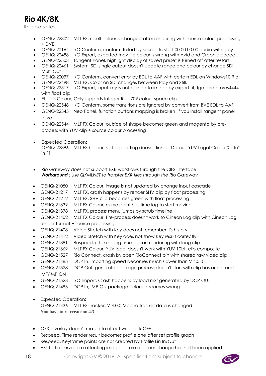### **Rio 4K/8K**

- GENQ-22302 MLT FX, result colour is changed after rendering with source colour processing + DVE
- GENQ-20164 I/O Conform, conform failed by source tc start 00:00:00:00 audio with grey
- GENQ-22488 I/O Export, exported mov file colour is wrong with Avid and Graphic codec
- GENQ-22503 Tangent Panel, highlight display of saved preset is turned off after restart
- GENQ-22461 System, SDI single output doesn't update range and colour by change SDI Multi Out
- GENQ-22097 I/O Conform, convert error by EDL to AAF with certain EDL on Windows10 Rio
- GENQ-22498 MLT FX, Color on SDI changes between Play and Still.
- GENQ-22517 I/O Export, input key is not burned to image by export tif, tga and prores4444 with float clip
- Effects Colour, Only supports Integer Rec.709 colour space clips
- GENQ-22548 I/O Conform, some transitions are ignored by convert from BVE EDL to AAF
- GENQ-22545 Neo Panel, function buttons mapping is broken, if you install tangent panel drive
- GENQ-22544 MLT FX Colour, outside of shape becomes green and magenta by preprocess with YUV clip + source colour processing
- Expected Operation: GENQ-22396 MLT FX Colour, soft clip setting doesn't link to "Default YUV Legal Colour State" in F1
- Rio Gateway does not support EXR workflows through the CIFS interface *Workaround : Use QXMLNET to transfer EXR files through the Rio Gateway*
- GENQ-21050 MLT FX Colour, image is not updated by change input cascade
- GENQ-21217 MLT FX, crash happens by render SHV clip by float processing
- GENQ-21212 MLT FX, SHV clip becomes green with float processing
- GENQ-21339 MLT FX Colour, curve point has time lag to start moving
- GENQ-21378 MLT FX, process menu jumps by scrub timeline
- GENQ-21402 MLT FX Colour, Pre-process doesn't work to Cineon Log clip with Cineon Log render format + source processing
- GENQ-21408 Video Stretch with Key does not remember it's history
- GENQ-21412 Video Stretch with Key does not show Key result correctly
- GENQ-21381 Respeed, it takes long time to start rendering with long clip
- GENQ-21369 MLT FX Colour, YUV legal doesn't work with YUV 10bit clip composite
- GENQ-21527 Rio Connect, crash by open RioConnect bin with shared raw video clip
- GENQ-21485 DCP In, importing speed becomes much slower than V 4.0.0
- GENQ-21528 DCP Out, generate package process doesn't start with clip has audio and IMF/IMP ON
- GENQ-21523 I/O Import, Crash happens by load mxf generated by DCP OUT
- GENQ-21496 DCP In, IMP ON package colour becomes wrong
- Expected Operation: GENQ-21436 MLT FX Tracker, V 4.0.0 Mocha tracker data is changed **You have to re-create on 4.3**
- OFX, overlay doesn't match to effect with desk OFF
- Respeed, Time render result becomes profile one after set profile graph
- Respeed, Keyframe points are not created by Profile Lin In/Out
- HSL fettle curves are affecting image before a colour change has not been applied

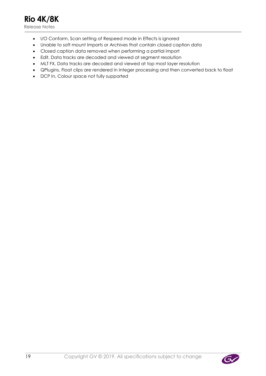**Rio 4K/8K** Release Notes

- I/O Conform, Scan setting of Respeed mode in Effects is ignored
- Unable to soft mount Imports or Archives that contain closed caption data
- Closed caption data removed when performing a partial import
- Edit, Data tracks are decoded and viewed at segment resolution
- MLT FX, Data tracks are decoded and viewed at top most layer resolution
- QPlugins, Float clips are rendered in Integer processing and then converted back to float
- DCP In, Colour space not fully supported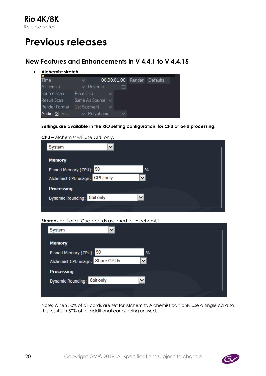# <span id="page-19-0"></span>**Previous releases**

<span id="page-19-1"></span>**New Features and Enhancements in V 4.4.1 to V 4.4.15**

**Alchemist stretch** 

| Time          | $\checkmark$ |                   |              | 00:00:01:00 | Render | Defaults |  |
|---------------|--------------|-------------------|--------------|-------------|--------|----------|--|
| Alchemist     |              | $\vee$ Reverse    |              |             |        |          |  |
| Source Scan   | From Clip    |                   | $\checkmark$ |             |        |          |  |
| Result Scan   |              | Same As Source v  |              |             |        |          |  |
| Render Format |              | 1st Segment       | $\checkmark$ |             |        |          |  |
| Audio ⊠ Fast  |              | $\vee$ Polyphonic |              | v           |        |          |  |

**Settings are available in the RIO setting configuration, for CPU or GPU processing.** 

**CPU –** Alchemist will use CPU only.

| System                        |   |
|-------------------------------|---|
| <b>Memory</b>                 |   |
| Pinned Memory (CPU): 50       | % |
| Alchemist GPU usage: CPU only |   |
| <b>Processing</b>             |   |
| Dynamic Rounding: 8bit only   | u |
|                               |   |

**Shared-** Half of all Cuda cards assigned for Alechemist.

| System                          |               |
|---------------------------------|---------------|
| <b>Memory</b>                   |               |
| Pinned Memory (CPU): 50         | $\frac{9}{6}$ |
| Alchemist GPU usage: Share GPUs |               |
| <b>Processing</b>               |               |
| Dynamic Rounding: 8bit only     |               |
|                                 |               |

Note: When 50% of all cards are set for Alchemist, Alchemist can only use a single card so this results in 50% of all additional cards being unused.

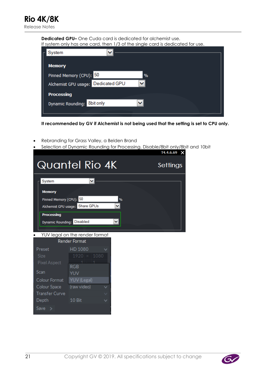#### **Rio 4K/8K** Release Notes

#### **Dedicated GPU–** One Cuda card is dedicated for alchemist use.

If system only has one card, then 1/3 of the single card is dedicated for use.

| System                             |   |  |
|------------------------------------|---|--|
| <b>Memory</b>                      |   |  |
| Pinned Memory (CPU): 50            | % |  |
| Alchemist GPU usage: Dedicated GPU |   |  |
| <b>Processing</b>                  |   |  |
| Dynamic Rounding: 8bit only        | w |  |
|                                    |   |  |

**It recommended by GV if Alchemist is not being used that the setting is set to CPU only.**

- Rebranding for Grass Valley, a Belden Brand
- Selection of Dynamic Rounding for Processing. Disable/8bit only/8bit and 10bit

|                                                 |                      |              | 14.4.6.69 |  |
|-------------------------------------------------|----------------------|--------------|-----------|--|
| <b>Quantel Rio 4K</b>                           |                      |              | Settings  |  |
| System                                          | ◡                    |              |           |  |
| <b>Memory</b><br>Pinned Memory (CPU): 50        |                      | %            |           |  |
| Alchemist GPU usage: Share GPUs                 |                      |              |           |  |
| <b>Processing</b><br>Dynamic Rounding: Disabled |                      | ×.           |           |  |
| YUV legal on the render format                  |                      |              |           |  |
|                                                 | <b>Render Format</b> |              |           |  |
| Preset                                          | HD 1080              |              |           |  |
| Size                                            | $1920 \times 1080$   |              |           |  |
| Pixel Aspect                                    | <b>RGB</b>           |              |           |  |
| Scan                                            | YUV                  |              |           |  |
| Colour Format                                   | YUV (Legal)          |              |           |  |
| Colour Space (raw video)                        |                      |              |           |  |
| <b>Transfer Curve</b>                           |                      |              |           |  |
| Depth                                           | <b>10 Bit</b>        | $\checkmark$ |           |  |
| Save                                            |                      |              |           |  |
|                                                 |                      |              |           |  |

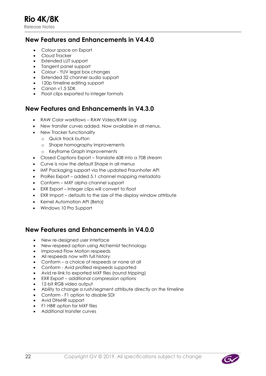**Rio 4K/8K** Release Notes

#### <span id="page-21-0"></span>**New Features and Enhancements in V4.4.0**

- Colour space on Export
- Cloud Tracker
- Extended LUT support
- Tangent panel support
- Colour YUV legal box changes
- Extended 32 channel audio support
- 120p timeline editing support
- Canon v1.5 SDK
- Float clips exported to integer formats

#### <span id="page-21-1"></span>**New Features and Enhancements in V4.3.0**

- RAW Color workflows RAW Video/RAW Log
- New transfer curves added. Now available in all menus.
- New Tracker functionality
	- o Quick track button
	- o Shape homography improvements
	- o Keyframe Graph improvements
- Closed Captions Export Translate 608 into a 708 stream
- Curve is now the default Shape in all menus
- IMF Packaging support via the updated Fraunhofer API
- ProRes Export added 5.1 channel mapping metadata
- Conform MXF alpha channel support
- EXR Export Integer clips will convert to float
- EXR Import defaults to the size of the display window attribute
- Kernel Automation API (Beta)
- Windows 10 Pro Support

#### <span id="page-21-2"></span>**New Features and Enhancements in V4.0.0**

- New re-designed user interface
- New respeed option using Alchemist technology
- Improved Flow Motion respeeds
- All respeeds now with full history
- Conform a choice of respeeds or none at all
- Conform Avid profiled respeeds supported
- Avid re-link to exported MXF files (round tripping)
- EXR Export additional compression options
- 12-bit RGB video output
- Ability to change a rush/segment attribute directly on the timeline
- Conform F1 option to disable SDI
- Avid DNxHR support
- F1 HBR option for MXF files
- Additional transfer curves